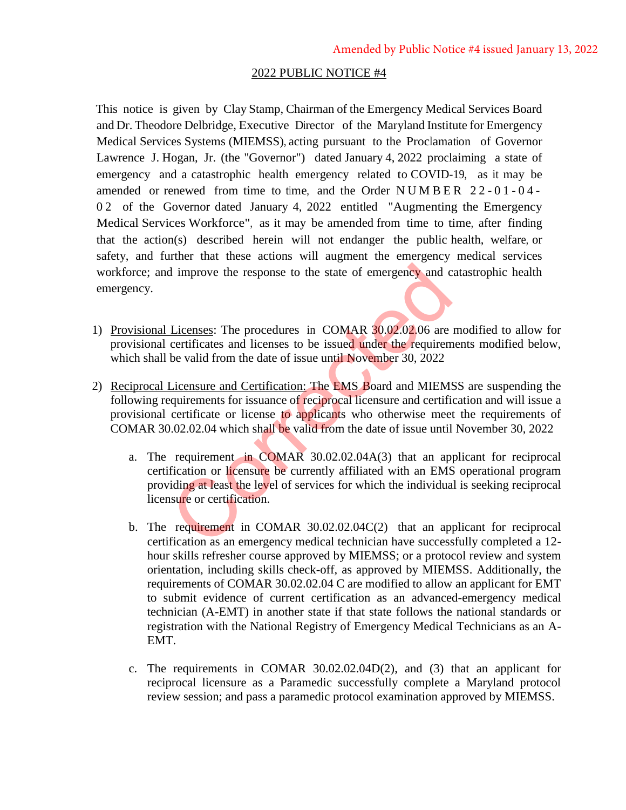## 2022 PUBLIC NOTICE #4

This notice is given by Clay Stamp, Chairman of the Emergency Medical Services Board and Dr. Theodore Delbridge, Executive Director of the Maryland Institute for Emergency Medical Services Systems (MIEMSS), acting pursuant to the Proclamation of Governor Lawrence J. Hogan, Jr. (the "Governor") dated January 4, 2022 proclaiming a state of emergency and a catastrophic health emergency related to COVID-19, as it may be amended or renewed from time to time, and the Order  $N$  U M B E R  $22 - 01 - 04$  -0 2 of the Governor dated January 4, 2022 entitled "Augmenting the Emergency Medical Services Workforce", as it may be amended from time to time, after finding that the action(s) described herein will not endanger the public health, welfare, or safety, and further that these actions will augment the emergency medical services workforce; and improve the response to the state of emergency and catastrophic health emergency.

- 1) Provisional Licenses: The procedures in COMAR 30.02.02.06 are modified to allow for provisional certificates and licenses to be issued under the requirements modified below, which shall be valid from the date of issue until November 30, 2022
- 2) Reciprocal Licensure and Certification: The EMS Board and MIEMSS are suspending the following requirements for issuance of reciprocal licensure and certification and will issue a provisional certificate or license to applicants who otherwise meet the requirements of COMAR 30.02.02.04 which shall be valid from the date of issue until November 30, 2022
- a. The requirement in COMAR 30.02.02.04A(3) that an applicant for reciprocal certification or licensure be currently affiliated with an EMS operational program providing at least the level of services for which the individual is seeking reciprocal licensure or certification. d improve the response to the state of emergency and c<br>
Licenses: The procedures in COMAR 30.02.02.06 are<br>
certificates and licenses to be issued under the requirem<br>
be valid from the date of issue until November 30, 2022<br>
	- b. The requirement in COMAR 30.02.02.04C(2) that an applicant for reciprocal certification as an emergency medical technician have successfully completed a 12 hour skills refresher course approved by MIEMSS; or a protocol review and system orientation, including skills check-off, as approved by MIEMSS. Additionally, the requirements of COMAR 30.02.02.04 C are modified to allow an applicant for EMT to submit evidence of current certification as an advanced-emergency medical technician (A-EMT) in another state if that state follows the national standards or registration with the National Registry of Emergency Medical Technicians as an A-EMT.
	- c. The requirements in COMAR 30.02.02.04D(2), and (3) that an applicant for reciprocal licensure as a Paramedic successfully complete a Maryland protocol review session; and pass a paramedic protocol examination approved by MIEMSS.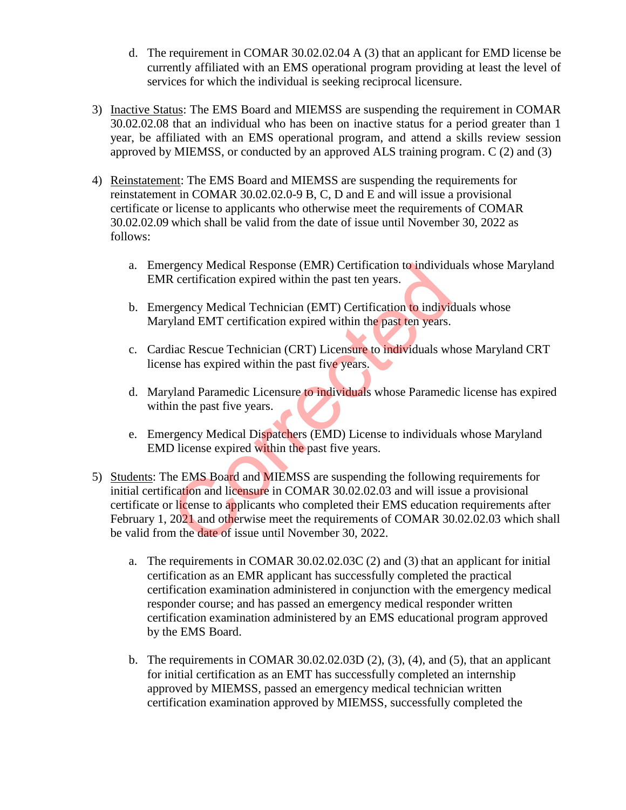- d. The requirement in COMAR 30.02.02.04 A (3) that an applicant for EMD license be currently affiliated with an EMS operational program providing at least the level of services for which the individual is seeking reciprocal licensure.
- 3) Inactive Status: The EMS Board and MIEMSS are suspending the requirement in COMAR 30.02.02.08 that an individual who has been on inactive status for a period greater than 1 year, be affiliated with an EMS operational program, and attend a skills review session approved by MIEMSS, or conducted by an approved ALS training program. C (2) and (3)
- 4) Reinstatement: The EMS Board and MIEMSS are suspending the requirements for reinstatement in COMAR 30.02.02.0-9 B, C, D and E and will issue a provisional certificate or license to applicants who otherwise meet the requirements of COMAR 30.02.02.09 which shall be valid from the date of issue until November 30, 2022 as follows:
	- a. Emergency Medical Response (EMR) Certification to individuals whose Maryland EMR certification expired within the past ten years.
	- b. Emergency Medical Technician (EMT) Certification to individuals whose Maryland EMT certification expired within the past ten years.
	- c. Cardiac Rescue Technician (CRT) Licensure to individuals whose Maryland CRT license has expired within the past five years.
	- d. Maryland Paramedic Licensure to individuals whose Paramedic license has expired within the past five years.
	- e. Emergency Medical Dispatchers (EMD) License to individuals whose Maryland EMD license expired within the past five years.
- 5) Students: The EMS Board and MIEMSS are suspending the following requirements for initial certification and licensure in COMAR 30.02.02.03 and will issue a provisional certificate or license to applicants who completed their EMS education requirements after February 1, 2021 and otherwise meet the requirements of COMAR 30.02.02.03 which shall be valid from the date of issue until November 30, 2022. regency Medical Response (EMR) Certification to individed and experiment of the past ten years.<br>
Figure Medical Technician (EMT) Certification to individuals<br>
Uguard EMT certification expired within the past ten years.<br>
Id
	- a. The requirements in COMAR 30.02.02.03C (2) and (3) that an applicant for initial certification as an EMR applicant has successfully completed the practical certification examination administered in conjunction with the emergency medical responder course; and has passed an emergency medical responder written certification examination administered by an EMS educational program approved by the EMS Board.
	- b. The requirements in COMAR  $30.02.02.03D(2)$ ,  $(3)$ ,  $(4)$ , and  $(5)$ , that an applicant for initial certification as an EMT has successfully completed an internship approved by MIEMSS, passed an emergency medical technician written certification examination approved by MIEMSS, successfully completed the